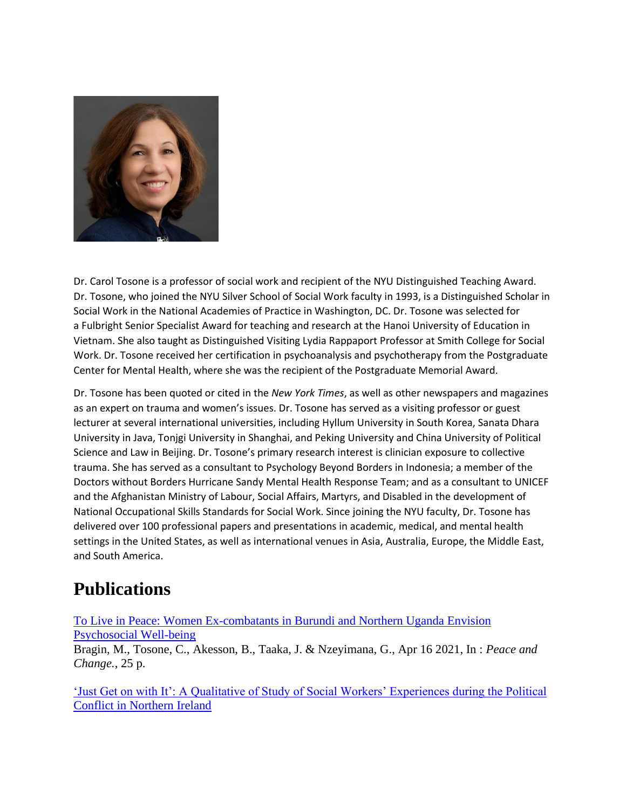

Dr. Carol Tosone is a professor of social work and recipient of the NYU Distinguished Teaching Award. Dr. Tosone, who joined the NYU Silver School of Social Work faculty in 1993, is a Distinguished Scholar in Social Work in the National Academies of Practice in Washington, DC. Dr. Tosone was selected for a Fulbright Senior Specialist Award for teaching and research at the Hanoi University of Education in Vietnam. She also taught as Distinguished Visiting Lydia Rappaport Professor at Smith College for Social Work. Dr. Tosone received her certification in psychoanalysis and psychotherapy from the Postgraduate Center for Mental Health, where she was the recipient of the Postgraduate Memorial Award.

Dr. Tosone has been quoted or cited in the *New York Times*, as well as other newspapers and magazines as an expert on trauma and women's issues. Dr. Tosone has served as a visiting professor or guest lecturer at several international universities, including Hyllum University in South Korea, Sanata Dhara University in Java, Tonjgi University in Shanghai, and Peking University and China University of Political Science and Law in Beijing. Dr. Tosone's primary research interest is clinician exposure to collective trauma. She has served as a consultant to Psychology Beyond Borders in Indonesia; a member of the Doctors without Borders Hurricane Sandy Mental Health Response Team; and as a consultant to UNICEF and the Afghanistan Ministry of Labour, Social Affairs, Martyrs, and Disabled in the development of National Occupational Skills Standards for Social Work. Since joining the NYU faculty, Dr. Tosone has delivered over 100 professional papers and presentations in academic, medical, and mental health settings in the United States, as well as international venues in Asia, Australia, Europe, the Middle East, and South America.

## **Publications**

[To Live in Peace: Women Ex-combatants in Burundi and Northern Uganda Envision](https://nyuscholars.nyu.edu/en/publications/to-live-in-peace-women-ex-combatants-in-burundi-and-northern-ugan)  [Psychosocial Well-being](https://nyuscholars.nyu.edu/en/publications/to-live-in-peace-women-ex-combatants-in-burundi-and-northern-ugan)

Bragin, M., Tosone, C., Akesson, B., Taaka, J. & Nzeyimana, G., Apr 16 2021, In : *Peace and Change.*, 25 p.

['Just Get on with It': A Qualitative of Study of Social Workers' Experiences during the Political](https://nyuscholars.nyu.edu/en/publications/just-get-on-with-it-a-qualitative-of-study-of-social-workers-expe)  [Conflict in Northern Ireland](https://nyuscholars.nyu.edu/en/publications/just-get-on-with-it-a-qualitative-of-study-of-social-workers-expe)